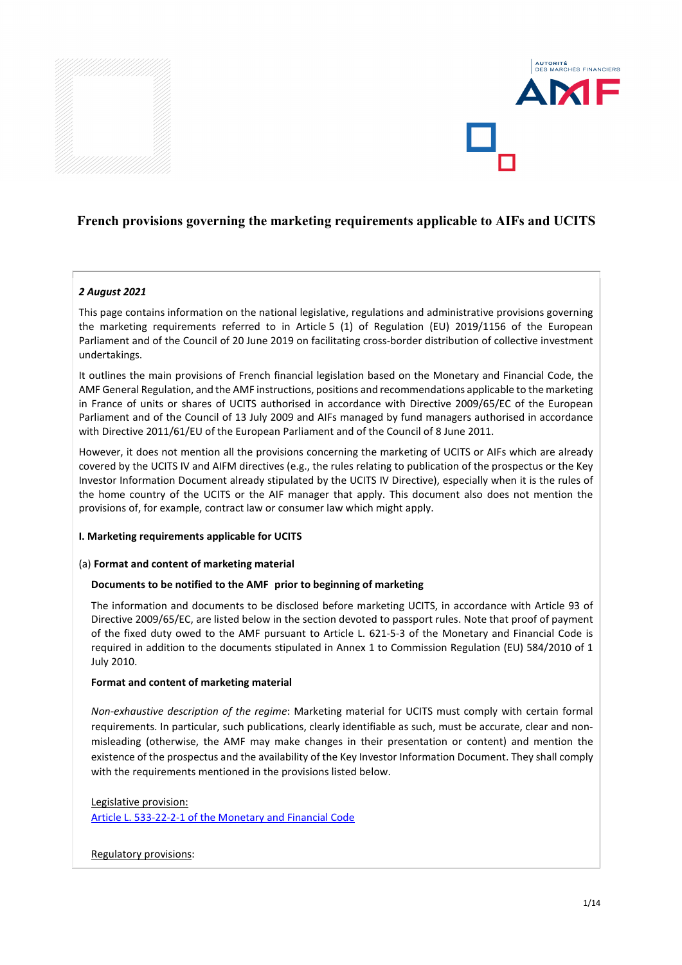



### *2 August 2021*

This page contains information on the national legislative, regulations and administrative provisions governing the marketing requirements referred to in Article 5 (1) of Regulation (EU) 2019/1156 of the European Parliament and of the Council of 20 June 2019 on facilitating cross-border distribution of collective investment undertakings.

It outlines the main provisions of French financial legislation based on the Monetary and Financial Code, the AMF General Regulation, and the AMF instructions, positions and recommendations applicable to the marketing in France of units or shares of UCITS authorised in accordance with Directive 2009/65/EC of the European Parliament and of the Council of 13 July 2009 and AIFs managed by fund managers authorised in accordance with Directive 2011/61/EU of the European Parliament and of the Council of 8 June 2011.

However, it does not mention all the provisions concerning the marketing of UCITS or AIFs which are already covered by the UCITS IV and AIFM directives (e.g., the rules relating to publication of the prospectus or the Key Investor Information Document already stipulated by the UCITS IV Directive), especially when it is the rules of the home country of the UCITS or the AIF manager that apply. This document also does not mention the provisions of, for example, contract law or consumer law which might apply.

### **I. Marketing requirements applicable for UCITS**

#### (a) **Format and content of marketing material**

### **Documents to be notified to the AMF prior to beginning of marketing**

The information and documents to be disclosed before marketing UCITS, in accordance with Article 93 of Directive 2009/65/EC, are listed below in the section devoted to passport rules. Note that proof of payment of the fixed duty owed to the AMF pursuant to Article L. 621-5-3 of the Monetary and Financial Code is required in addition to the documents stipulated in Annex 1 to Commission Regulation (EU) 584/2010 of 1 July 2010.

#### **Format and content of marketing material**

*Non-exhaustive description of the regime*: Marketing material for UCITS must comply with certain formal requirements. In particular, such publications, clearly identifiable as such, must be accurate, clear and nonmisleading (otherwise, the AMF may make changes in their presentation or content) and mention the existence of the prospectus and the availability of the Key Investor Information Document. They shall comply with the requirements mentioned in the provisions listed below.

#### Legislative provision:

[Article L. 533-22-2-1 of the Monetary and Financial Code](https://www.legifrance.gouv.fr/codes/article_lc/LEGIARTI000035015616)

#### Regulatory provisions: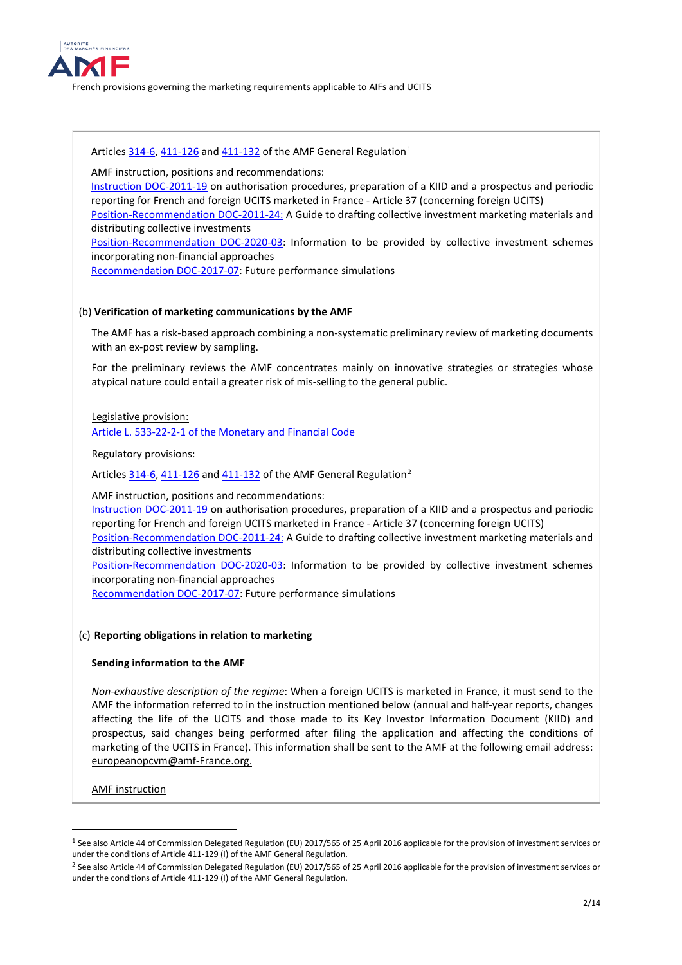

Articles [314-6,](https://www.amf-france.org/en/eli/fr/aai/amf/rg/article/314-6/20180103/notes) [411-126](https://www.amf-france.org/en/eli/fr/aai/amf/rg/article/411-126/20180309/notes) an[d 411-132](https://www.amf-france.org/en/eli/fr/aai/amf/rg/article/411-132/20140221/notes) of the AMF General Regulation<sup>[1](#page-1-0)</sup>

AMF instruction, positions and recommendations:

[Instruction DOC-2011-19](https://www.amf-france.org/en/regulation/policy/doc-2011-19) on authorisation procedures, preparation of a KIID and a prospectus and periodic reporting for French and foreign UCITS marketed in France - Article 37 (concerning foreign UCITS) [Position-Recommendation DOC-2011-24:](https://www.amf-france.org/en/regulation/policy/doc-2011-24) A Guide to drafting collective investment marketing materials and distributing collective investments [Position-Recommendation DOC-2020-03:](https://www.amf-france.org/en/regulation/policy/doc-2020-03) Information to be provided by collective investment schemes incorporating non-financial approaches

[Recommendation DOC-2017-07:](https://www.amf-france.org/en/regulation/policy/doc-2017-07) Future performance simulations

### (b) **Verification of marketing communications by the AMF**

The AMF has a risk-based approach combining a non-systematic preliminary review of marketing documents with an ex-post review by sampling.

For the preliminary reviews the AMF concentrates mainly on innovative strategies or strategies whose atypical nature could entail a greater risk of mis-selling to the general public.

### Legislative provision:

Article L. 533-22-2-1 [of the Monetary and Financial Code](https://www.legifrance.gouv.fr/codes/article_lc/LEGIARTI000035015616)

### Regulatory provisions:

Article[s 314-6,](https://www.amf-france.org/en/eli/fr/aai/amf/rg/article/314-6/20180103/notes) [411-126](https://www.amf-france.org/en/eli/fr/aai/amf/rg/article/411-126/20180309/notes) and [411-132](https://www.amf-france.org/en/eli/fr/aai/amf/rg/article/411-132/20140221/notes) of the AMF General Regulation<sup>[2](#page-1-1)</sup>

### AMF instruction, positions and recommendations:

[Instruction DOC-2011-19](https://www.amf-france.org/en/regulation/policy/doc-2011-19) on authorisation procedures, preparation of a KIID and a prospectus and periodic reporting for French and foreign UCITS marketed in France - Article 37 (concerning foreign UCITS)

[Position-Recommendation DOC-2011-24:](https://www.amf-france.org/en/regulation/policy/doc-2011-24) A Guide to drafting collective investment marketing materials and distributing collective investments

[Position-Recommendation DOC-2020-03:](https://www.amf-france.org/en/regulation/policy/doc-2020-03) Information to be provided by collective investment schemes incorporating non-financial approaches

[Recommendation DOC-2017-07:](https://www.amf-france.org/en/regulation/policy/doc-2017-07) Future performance simulations

### (c) **Reporting obligations in relation to marketing**

### **Sending information to the AMF**

*Non-exhaustive description of the regime*: When a foreign UCITS is marketed in France, it must send to the AMF the information referred to in the instruction mentioned below (annual and half-year reports, changes affecting the life of the UCITS and those made to its Key Investor Information Document (KIID) and prospectus, said changes being performed after filing the application and affecting the conditions of marketing of the UCITS in France). This information shall be sent to the AMF at the following email address: [europeanopcvm@amf-France.org.](mailto:europeanopcvm@amf-France.org)

AMF instruction

<u>.</u>

<span id="page-1-0"></span><sup>&</sup>lt;sup>1</sup> See also Article 44 of Commission Delegated Regulation (EU) 2017/565 of 25 April 2016 applicable for the provision of investment services or under the conditions of Article 411-129 (I) of the AMF General Regulation.

<span id="page-1-1"></span><sup>&</sup>lt;sup>2</sup> See also Article 44 of Commission Delegated Regulation (EU) 2017/565 of 25 April 2016 applicable for the provision of investment services or under the conditions of Article 411-129 (I) of the AMF General Regulation.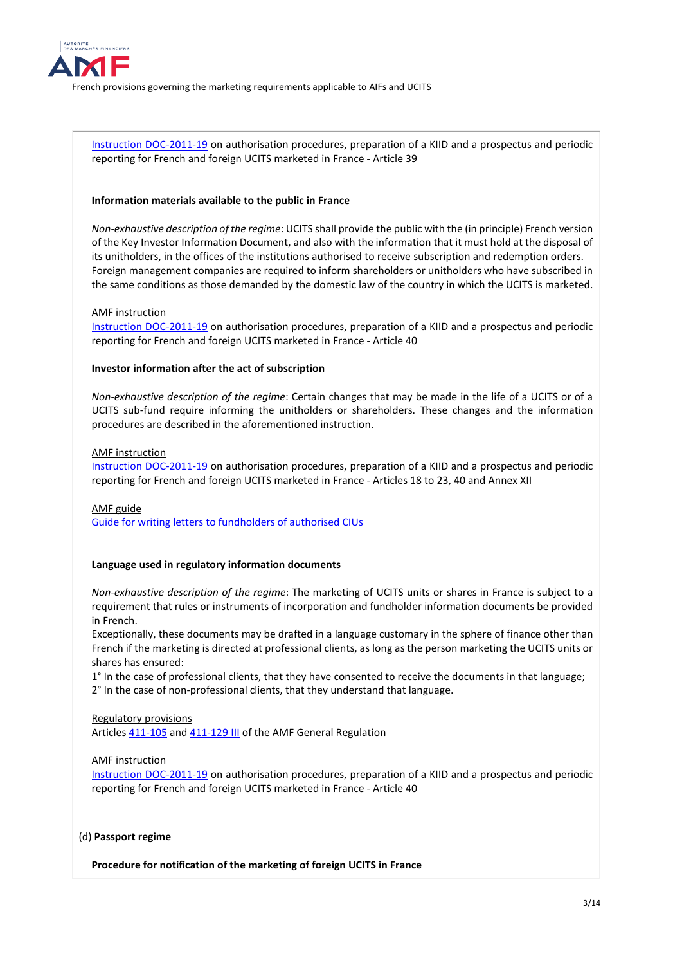

[Instruction DOC-2011-19](https://www.amf-france.org/en/regulation/policy/doc-2011-19) on authorisation procedures, preparation of a KIID and a prospectus and periodic reporting for French and foreign UCITS marketed in France - Article 39

#### **Information materials available to the public in France**

*Non-exhaustive description of the regime*: UCITS shall provide the public with the (in principle) French version of the Key Investor Information Document, and also with the information that it must hold at the disposal of its unitholders, in the offices of the institutions authorised to receive subscription and redemption orders. Foreign management companies are required to inform shareholders or unitholders who have subscribed in the same conditions as those demanded by the domestic law of the country in which the UCITS is marketed.

#### AMF instruction

[Instruction DOC-2011-19](https://www.amf-france.org/en/regulation/policy/doc-2011-19) on authorisation procedures, preparation of a KIID and a prospectus and periodic reporting for French and foreign UCITS marketed in France - Article 40

#### **Investor information after the act of subscription**

*Non-exhaustive description of the regime*: Certain changes that may be made in the life of a UCITS or of a UCITS sub-fund require informing the unitholders or shareholders. These changes and the information procedures are described in the aforementioned instruction.

### AMF instruction

[Instruction DOC-2011-19](https://www.amf-france.org/en/regulation/policy/doc-2011-19) on authorisation procedures, preparation of a KIID and a prospectus and periodic reporting for French and foreign UCITS marketed in France - Articles 18 to 23, 40 and Annex XII

#### AMF guide

[Guide for writing letters to fundholders of authorised CIUs](https://www.amf-france.org/en/news-publications/publications/professional-guides/guide-writing-letters-fundholders-authorised-cius)

#### **Language used in regulatory information documents**

*Non-exhaustive description of the regime*: The marketing of UCITS units or shares in France is subject to a requirement that rules or instruments of incorporation and fundholder information documents be provided in French.

Exceptionally, these documents may be drafted in a language customary in the sphere of finance other than French if the marketing is directed at professional clients, as long as the person marketing the UCITS units or shares has ensured:

1° In the case of professional clients, that they have consented to receive the documents in that language; 2° In the case of non-professional clients, that they understand that language.

#### Regulatory provisions Article[s 411-105](https://www.amf-france.org/en/eli/fr/aai/amf/rg/article/411-105/20190222/notes) and [411-129 III](https://www.amf-france.org/en/eli/fr/aai/amf/rg/article/411-129/20190222/notes) of the AMF General Regulation

#### AMF instruction

[Instruction DOC-2011-19](https://www.amf-france.org/en/regulation/policy/doc-2011-19) on authorisation procedures, preparation of a KIID and a prospectus and periodic reporting for French and foreign UCITS marketed in France - Article 40

#### (d) **Passport regime**

**Procedure for notification of the marketing of foreign UCITS in France**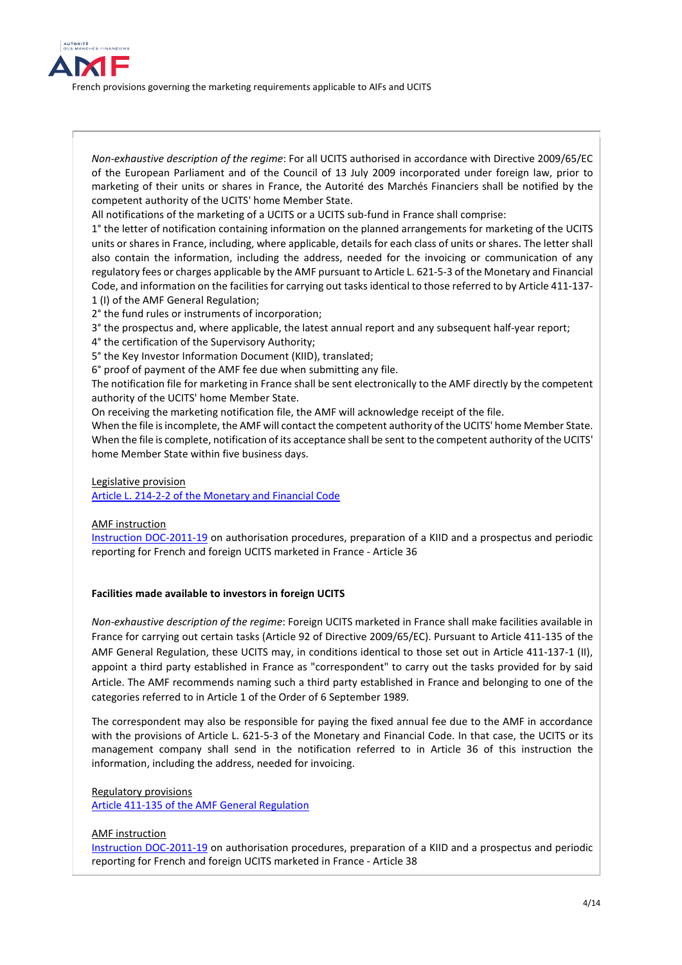

*Non-exhaustive description of the regime*: For all UCITS authorised in accordance with Directive 2009/65/EC of the European Parliament and of the Council of 13 July 2009 incorporated under foreign law, prior to marketing of their units or shares in France, the Autorité des Marchés Financiers shall be notified by the competent authority of the UCITS' home Member State.

All notifications of the marketing of a UCITS or a UCITS sub-fund in France shall comprise:

1° the letter of notification containing information on the planned arrangements for marketing of the UCITS units or shares in France, including, where applicable, details for each class of units or shares. The letter shall also contain the information, including the address, needed for the invoicing or communication of any regulatory fees or charges applicable by the AMF pursuant to Article L. 621-5-3 of the Monetary and Financial Code, and information on the facilities for carrying out tasks identical to those referred to by Article 411-137- 1 (I) of the AMF General Regulation;

2° the fund rules or instruments of incorporation;

3° the prospectus and, where applicable, the latest annual report and any subsequent half-year report;

4° the certification of the Supervisory Authority;

5° the Key Investor Information Document (KIID), translated;

6° proof of payment of the AMF fee due when submitting any file.

The notification file for marketing in France shall be sent electronically to the AMF directly by the competent authority of the UCITS' home Member State.

On receiving the marketing notification file, the AMF will acknowledge receipt of the file.

When the file is incomplete, the AMF will contact the competent authority of the UCITS' home Member State. When the file is complete, notification of its acceptance shall be sent to the competent authority of the UCITS' home Member State within five business days.

Legislative provision

[Article L. 214-2-2 of the Monetary and Financial Code](https://www.legifrance.gouv.fr/codes/texte_lc/LEGITEXT000006072026/2021-08-02/)

### AMF instruction

[Instruction DOC-2011-19](https://www.amf-france.org/en/regulation/policy/doc-2011-19) on authorisation procedures, preparation of a KIID and a prospectus and periodic reporting for French and foreign UCITS marketed in France - Article 36

### **Facilities made available to investors in foreign UCITS**

*Non-exhaustive description of the regime*: Foreign UCITS marketed in France shall make facilities available in France for carrying out certain tasks (Article 92 of Directive 2009/65/EC). Pursuant to Article 411-135 of the AMF General Regulation, these UCITS may, in conditions identical to those set out in Article 411-137-1 (II), appoint a third party established in France as "correspondent" to carry out the tasks provided for by said Article. The AMF recommends naming such a third party established in France and belonging to one of the categories referred to in Article 1 of the Order of 6 September 1989.

The correspondent may also be responsible for paying the fixed annual fee due to the AMF in accordance with the provisions of Article L. 621-5-3 of the Monetary and Financial Code. In that case, the UCITS or its management company shall send in the notification referred to in Article 36 of this instruction the information, including the address, needed for invoicing.

### Regulatory provisions

[Article 411-135 of the AMF General Regulation](https://www.amf-france.org/fr/eli/fr/aai/amf/rg/article/411-135/20210731/notes)

### AMF instruction

[Instruction DOC-2011-19](https://www.amf-france.org/en/regulation/policy/doc-2011-19) on authorisation procedures, preparation of a KIID and a prospectus and periodic reporting for French and foreign UCITS marketed in France - Article 38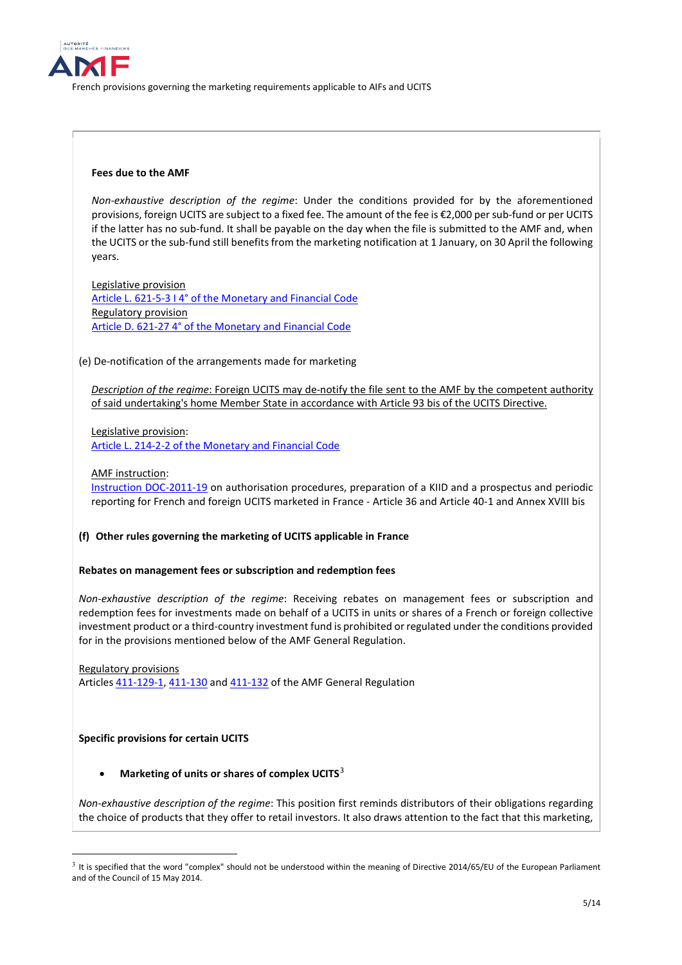

### **Fees due to the AMF**

*Non-exhaustive description of the regime*: Under the conditions provided for by the aforementioned provisions, foreign UCITS are subject to a fixed fee. The amount of the fee is €2,000 per sub-fund or per UCITS if the latter has no sub-fund. It shall be payable on the day when the file is submitted to the AMF and, when the UCITS or the sub-fund still benefits from the marketing notification at 1 January, on 30 April the following years.

Legislative provision [Article L. 621-5-3 I 4° of the Monetary and Financial Code](https://www.legifrance.gouv.fr/codes/article_lc/LEGIARTI000042911408) Regulatory provision [Article D. 621-27 4° of the Monetary and Financial Code](https://www.legifrance.gouv.fr/codes/article_lc/LEGIARTI000042977478/2021-01-15)

### (e) De-notification of the arrangements made for marketing

*Description of the regime*: Foreign UCITS may de-notify the file sent to the AMF by the competent authority of said undertaking's home Member State in accordance with Article 93 bis of the UCITS Directive.

Legislative provision:

[Article L. 214-2-2 of the Monetary and Financial Code](https://www.legifrance.gouv.fr/codes/texte_lc/LEGITEXT000006072026/2021-08-02/)

### AMF instruction:

[Instruction DOC-2011-19](https://www.amf-france.org/en/regulation/policy/doc-2011-19) on authorisation procedures, preparation of a KIID and a prospectus and periodic reporting for French and foreign UCITS marketed in France - Article 36 and Article 40-1 and Annex XVIII bis

### **(f) Other rules governing the marketing of UCITS applicable in France**

### **Rebates on management fees or subscription and redemption fees**

*Non-exhaustive description of the regime*: Receiving rebates on management fees or subscription and redemption fees for investments made on behalf of a UCITS in units or shares of a French or foreign collective investment product or a third-country investment fund is prohibited or regulated under the conditions provided for in the provisions mentioned below of the AMF General Regulation.

Regulatory provisions Article[s 411-129-1,](https://www.amf-france.org/en/eli/fr/aai/amf/rg/article/411-129-1/20131221/notes) [411-130](https://www.amf-france.org/en/eli/fr/aai/amf/rg/article/411-130/20180103/notes) and [411-132](https://www.amf-france.org/en/eli/fr/aai/amf/rg/article/411-132/20140221/notes) of the AMF General Regulation

### **Specific provisions for certain UCITS**

### • **Marketing of units or shares of complex UCITS**[3](#page-4-0)

*Non-exhaustive description of the regime*: This position first reminds distributors of their obligations regarding the choice of products that they offer to retail investors. It also draws attention to the fact that this marketing,

<span id="page-4-0"></span> $3$  It is specified that the word "complex" should not be understood within the meaning of Directive 2014/65/EU of the European Parliament and of the Council of 15 May 2014.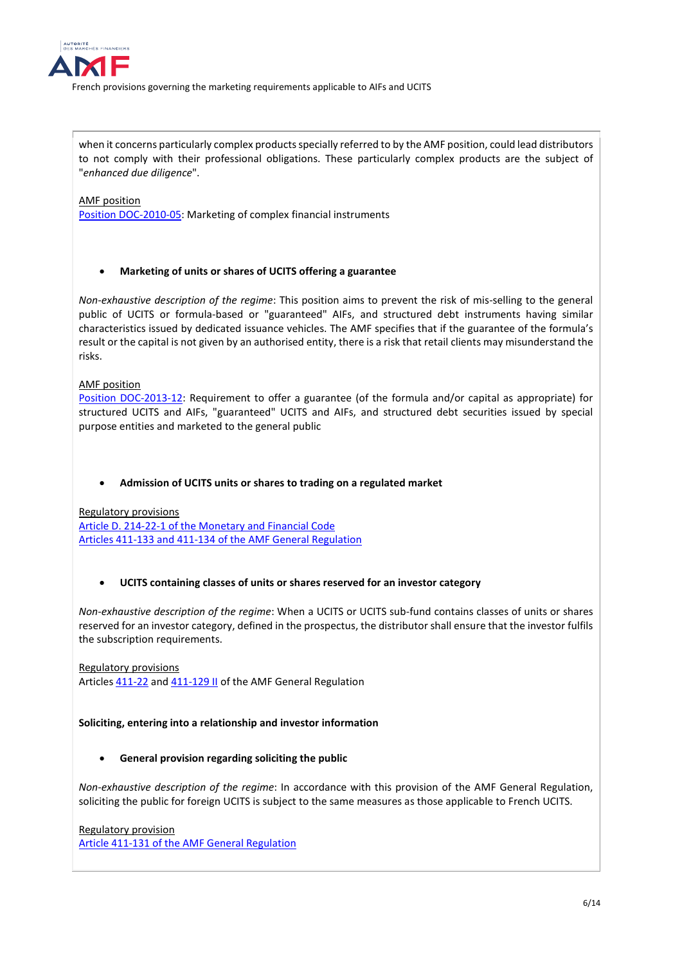

when it concerns particularly complex products specially referred to by the AMF position, could lead distributors to not comply with their professional obligations. These particularly complex products are the subject of "*enhanced due diligence*".

## AMF position

[Position DOC-2010-05:](https://www.amf-france.org/en/regulation/policy/doc-2010-05) Marketing of complex financial instruments

## • **Marketing of units or shares of UCITS offering a guarantee**

*Non-exhaustive description of the regime*: This position aims to prevent the risk of mis-selling to the general public of UCITS or formula-based or "guaranteed" AIFs, and structured debt instruments having similar characteristics issued by dedicated issuance vehicles. The AMF specifies that if the guarantee of the formula's result or the capital is not given by an authorised entity, there is a risk that retail clients may misunderstand the risks.

AMF position

[Position DOC-2013-12:](https://www.amf-france.org/fr/reglementation/doctrine/doc-2013-12) Requirement to offer a guarantee (of the formula and/or capital as appropriate) for structured UCITS and AIFs, "guaranteed" UCITS and AIFs, and structured debt securities issued by special purpose entities and marketed to the general public

### • **Admission of UCITS units or shares to trading on a regulated market**

Regulatory provisions [Article D. 214-22-1 of the Monetary and Financial Code](https://www.legifrance.gouv.fr/codes/article_lc/LEGIARTI000038714468/2021-01-15) [Articles 411-133 and 411-134 of the AMF General Regulation](https://www.amf-france.org/en/eli/fr/aai/amf/rg/book/4/title/1/chapter/1/section/7/sub-section/2/20210101/notes)

## • **UCITS containing classes of units or shares reserved for an investor category**

*Non-exhaustive description of the regime*: When a UCITS or UCITS sub-fund contains classes of units or shares reserved for an investor category, defined in the prospectus, the distributor shall ensure that the investor fulfils the subscription requirements.

Regulatory provisions Article[s 411-22](https://www.amf-france.org/en/eli/fr/aai/amf/rg/article/411-22/20180422/notes) an[d 411-129 II](https://www.amf-france.org/en/eli/fr/aai/amf/rg/article/411-129/20190222/notes) of the AMF General Regulation

### **Soliciting, entering into a relationship and investor information**

## • **General provision regarding soliciting the public**

*Non-exhaustive description of the regime*: In accordance with this provision of the AMF General Regulation, soliciting the public for foreign UCITS is subject to the same measures as those applicable to French UCITS.

Regulatory provision [Article 411-131 of the AMF General Regulation](https://www.amf-france.org/en/eli/fr/aai/amf/rg/article/411-131/20131221/notes)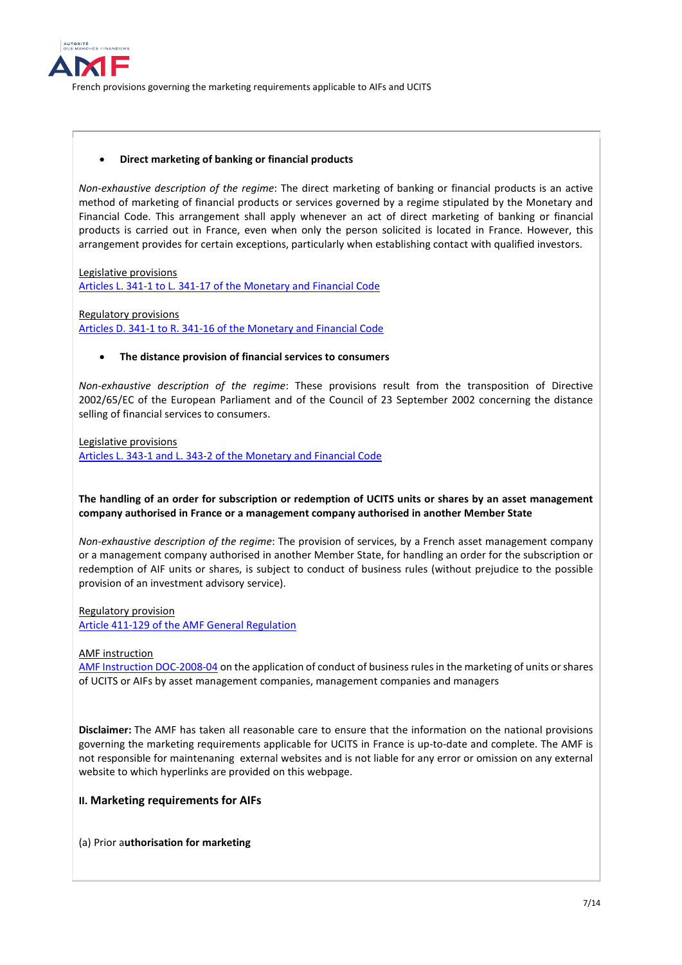

### • **Direct marketing of banking or financial products**

*Non-exhaustive description of the regime*: The direct marketing of banking or financial products is an active method of marketing of financial products or services governed by a regime stipulated by the Monetary and Financial Code. This arrangement shall apply whenever an act of direct marketing of banking or financial products is carried out in France, even when only the person solicited is located in France. However, this arrangement provides for certain exceptions, particularly when establishing contact with qualified investors.

Legislative provisions [Articles L. 341-1 to L. 341-17 of the Monetary and Financial Code](https://www.legifrance.gouv.fr/codes/section_lc/LEGITEXT000006072026/LEGISCTA000006154463/2021-01-15/#LEGISCTA000006154463)

Regulatory provisions [Articles D. 341-1 to R. 341-16 of the Monetary and Financial Code](https://www.legifrance.gouv.fr/codes/section_lc/LEGITEXT000006072026/LEGISCTA000006153793/2021-01-15/#LEGISCTA000006153793)

### • **The distance provision of financial services to consumers**

*Non-exhaustive description of the regime*: These provisions result from the transposition of Directive 2002/65/EC of the European Parliament and of the Council of 23 September 2002 concerning the distance selling of financial services to consumers.

Legislative provisions [Articles L. 343-1 and L. 343-2 of the Monetary and Financial Code](https://www.legifrance.gouv.fr/codes/section_lc/LEGITEXT000006072026/LEGISCTA000006154800/2021-01-15/#LEGISCTA000006154800)

## **The handling of an order for subscription or redemption of UCITS units or shares by an asset management company authorised in France or a management company authorised in another Member State**

*Non-exhaustive description of the regime*: The provision of services, by a French asset management company or a management company authorised in another Member State, for handling an order for the subscription or redemption of AIF units or shares, is subject to conduct of business rules (without prejudice to the possible provision of an investment advisory service).

Regulatory provision [Article 411-129 of the AMF General Regulation](https://www.amf-france.org/en/eli/fr/aai/amf/rg/article/411-129/20190222/notes)

#### AMF instruction

[AMF Instruction DOC-2008-04](https://www.amf-france.org/fr/reglementation/doctrine/doc-2008-04) on the application of conduct of business rules in the marketing of units or shares of UCITS or AIFs by asset management companies, management companies and managers

**Disclaimer:** The AMF has taken all reasonable care to ensure that the information on the national provisions governing the marketing requirements applicable for UCITS in France is up-to-date and complete. The AMF is not responsible for maintenaning external websites and is not liable for any error or omission on any external website to which hyperlinks are provided on this webpage.

### **II. Marketing requirements for AIFs**

#### (a) Prior a**uthorisation for marketing**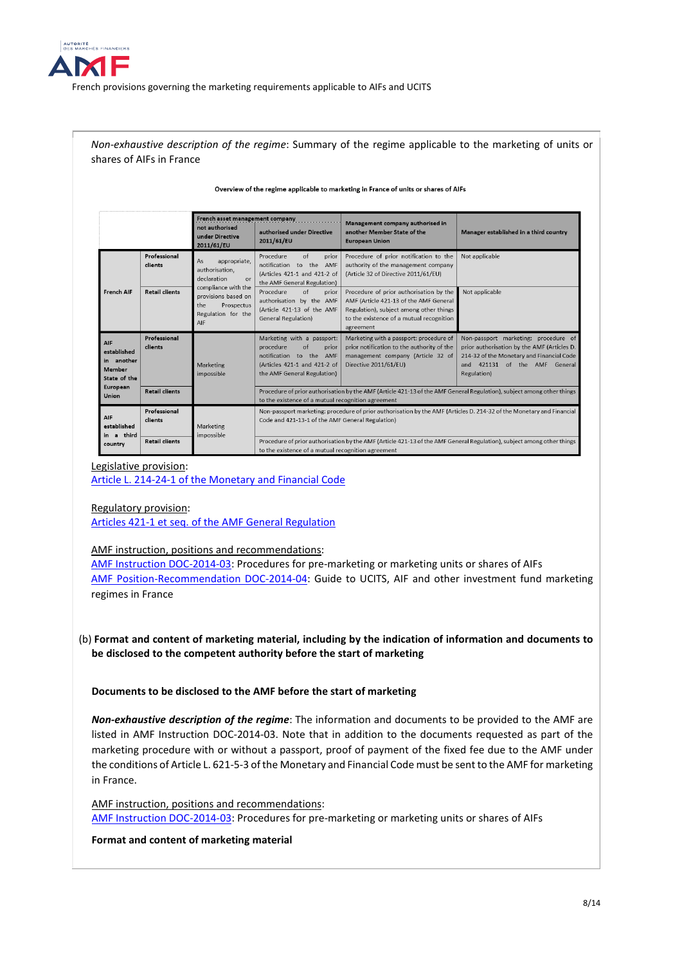

*Non-exhaustive description of the regime*: Summary of the regime applicable to the marketing of units or shares of AIFs in France

#### Overview of the regime applicable to marketing in France of units or shares of AIFs

|                                                                               |                         | French asset management company<br>not authorised<br>under Directive<br>2011/61/EU                                                                                | authorised under Directive<br>2011/61/EU                                                                                                                                     | Management company authorised in<br>another Member State of the<br><b>European Union</b>                                                                                              | Manager established in a third country                                                                                                                                           |
|-------------------------------------------------------------------------------|-------------------------|-------------------------------------------------------------------------------------------------------------------------------------------------------------------|------------------------------------------------------------------------------------------------------------------------------------------------------------------------------|---------------------------------------------------------------------------------------------------------------------------------------------------------------------------------------|----------------------------------------------------------------------------------------------------------------------------------------------------------------------------------|
| <b>French AIF</b>                                                             | Professional<br>clients | As<br>appropriate,<br>authorisation.<br>declaration<br>$\alpha$ r<br>compliance with the<br>provisions based on<br>the<br>Prospectus<br>Regulation for the<br>AIF | $\circ$ f<br>Procedure<br>prior<br>notification to the AMF<br>(Articles 421-1 and 421-2 of<br>the AMF General Regulation)                                                    | Procedure of prior notification to the<br>authority of the management company<br>(Article 32 of Directive 2011/61/EU)                                                                 | Not applicable                                                                                                                                                                   |
|                                                                               | <b>Retail clients</b>   |                                                                                                                                                                   | of<br>Procedure<br>prior<br>authorisation by the AMF<br>(Article 421-13 of the AMF<br><b>General Regulation)</b>                                                             | Procedure of prior authorisation by the<br>AMF (Article 421-13 of the AMF General<br>Regulation), subject among other things<br>to the existence of a mutual recognition<br>agreement | Not applicable                                                                                                                                                                   |
| AIF<br>established<br>in another<br>Member<br>State of the<br><b>European</b> | Professional<br>clients | Marketing<br>impossible                                                                                                                                           | Marketing with a passport:<br>procedure<br>of<br>prior<br>notification to the AMF<br>(Articles 421-1 and 421-2 of<br>the AMF General Regulation)                             | Marketing with a passport: procedure of<br>prior notification to the authority of the<br>management company (Article 32 of<br>Directive 2011/61/EU)                                   | Non-passport marketing: procedure of<br>prior authorisation by the AMF (Articles D.<br>214-32 of the Monetary and Financial Code<br>and 421131 of the AMF General<br>Regulation) |
| Union                                                                         | <b>Retail clients</b>   |                                                                                                                                                                   | Procedure of prior authorisation by the AMF (Article 421-13 of the AMF General Regulation), subject among other things<br>to the existence of a mutual recognition agreement |                                                                                                                                                                                       |                                                                                                                                                                                  |
| AIF<br>established<br>in a third<br>country                                   | Professional<br>clients | Marketing<br>impossible                                                                                                                                           | Non-passport marketing: procedure of prior authorisation by the AMF (Articles D. 214-32 of the Monetary and Financial<br>Code and 421-13-1 of the AMF General Regulation)    |                                                                                                                                                                                       |                                                                                                                                                                                  |
|                                                                               | <b>Retail clients</b>   |                                                                                                                                                                   | Procedure of prior authorisation by the AMF (Article 421-13 of the AMF General Regulation), subject among other things<br>to the evistence of a mutual recognition agreement |                                                                                                                                                                                       |                                                                                                                                                                                  |

#### Legislative provision:

[Article L. 214-24-1 of the Monetary and Financial Code](https://www.legifrance.gouv.fr/codes/texte_lc/LEGITEXT000006072026/2021-08-02/)

#### Regulatory provision:

[Articles 421-1 et seq. of the AMF General Regulation](https://www.amf-france.org/en/eli/fr/aai/amf/rg/book/4/title/2/chapter/1/section/1/20210523/notes)

#### AMF instruction, positions and recommendations:

[AMF Instruction DOC-2014-03:](https://www.amf-france.org/en/regulation/policy/doc-2014-03) Procedures for pre-marketing or marketing units or shares of AIFs [AMF Position-Recommendation DOC-2014-04:](https://www.amf-france.org/en/regulation/policy/doc-2014-04) Guide to UCITS, AIF and other investment fund marketing regimes in France

### (b) **Format and content of marketing material, including by the indication of information and documents to be disclosed to the competent authority before the start of marketing**

### **Documents to be disclosed to the AMF before the start of marketing**

*Non-exhaustive description of the regime*: The information and documents to be provided to the AMF are listed in AMF Instruction DOC-2014-03. Note that in addition to the documents requested as part of the marketing procedure with or without a passport, proof of payment of the fixed fee due to the AMF under the conditions of Article L. 621-5-3 of the Monetary and Financial Code must be sent to the AMF for marketing in France.

### AMF instruction, positions and recommendations:

[AMF Instruction DOC-2014-03:](https://www.amf-france.org/en/regulation/policy/doc-2014-03) Procedures for pre-marketing or marketing units or shares of AIFs

### **Format and content of marketing material**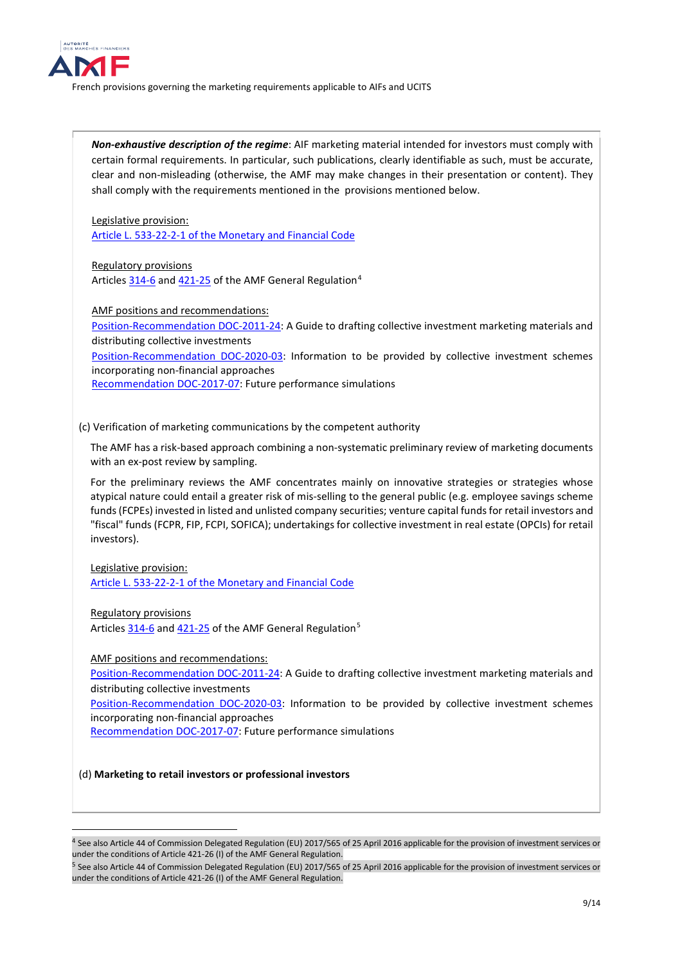

*Non-exhaustive description of the regime*: AIF marketing material intended for investors must comply with certain formal requirements. In particular, such publications, clearly identifiable as such, must be accurate, clear and non-misleading (otherwise, the AMF may make changes in their presentation or content). They shall comply with the requirements mentioned in the provisions mentioned below.

Legislative provision: [Article L. 533-22-2-1 of the Monetary and Financial Code](https://www.legifrance.gouv.fr/codes/article_lc/LEGIARTI000035015616)

Regulatory provisions Article[s 314-6](https://www.amf-france.org/en/eli/fr/aai/amf/rg/article/314-6/20180103/notes) and [421-25](https://www.amf-france.org/en/eli/fr/aai/amf/rg/article/421-25/20180103/notes) of the AMF General Regulation<sup>[4](#page-8-0)</sup>

AMF positions and recommendations:

[Position-Recommendation DOC-2011-24:](https://www.amf-france.org/en/regulation/policy/doc-2011-24) A Guide to drafting collective investment marketing materials and distributing collective investments

[Position-Recommendation DOC-2020-03:](https://www.amf-france.org/en/regulation/policy/doc-2020-03) Information to be provided by collective investment schemes incorporating non-financial approaches

[Recommendation DOC-2017-07:](https://www.amf-france.org/en/regulation/policy/doc-2017-07) Future performance simulations

### (c) Verification of marketing communications by the competent authority

The AMF has a risk-based approach combining a non-systematic preliminary review of marketing documents with an ex-post review by sampling.

For the preliminary reviews the AMF concentrates mainly on innovative strategies or strategies whose atypical nature could entail a greater risk of mis-selling to the general public (e.g. employee savings scheme funds (FCPEs) invested in listed and unlisted company securities; venture capital funds for retail investors and "fiscal" funds (FCPR, FIP, FCPI, SOFICA); undertakings for collective investment in real estate (OPCIs) for retail investors).

Legislative provision: [Article L. 533-22-2-1 of the Monetary and Financial Code](https://www.legifrance.gouv.fr/codes/article_lc/LEGIARTI000035015616)

Regulatory provisions

<u>.</u>

Article[s 314-6](https://www.amf-france.org/en/eli/fr/aai/amf/rg/article/314-6/20180103/notes) and [421-25](https://www.amf-france.org/en/eli/fr/aai/amf/rg/article/421-25/20180103/notes) of the AMF General Regulation<sup>[5](#page-8-1)</sup>

AMF positions and recommendations:

[Position-Recommendation DOC-2011-24:](https://www.amf-france.org/en/regulation/policy/doc-2011-24) A Guide to drafting collective investment marketing materials and distributing collective investments

[Position-Recommendation DOC-2020-03:](https://www.amf-france.org/en/regulation/policy/doc-2020-03) Information to be provided by collective investment schemes incorporating non-financial approaches

[Recommendation DOC-2017-07:](https://www.amf-france.org/en/regulation/policy/doc-2017-07) Future performance simulations

(d) **Marketing to retail investors or professional investors**

<span id="page-8-0"></span><sup>4</sup> See also Article 44 of Commission Delegated Regulation (EU) 2017/565 of 25 April 2016 applicable for the provision of investment services or under the conditions of Article 421-26 (I) of the AMF General Regulation.

<span id="page-8-1"></span><sup>5</sup> See also Article 44 of Commission Delegated Regulation (EU) 2017/565 of 25 April 2016 applicable for the provision of investment services or under the conditions of Article 421-26 (I) of the AMF General Regulation.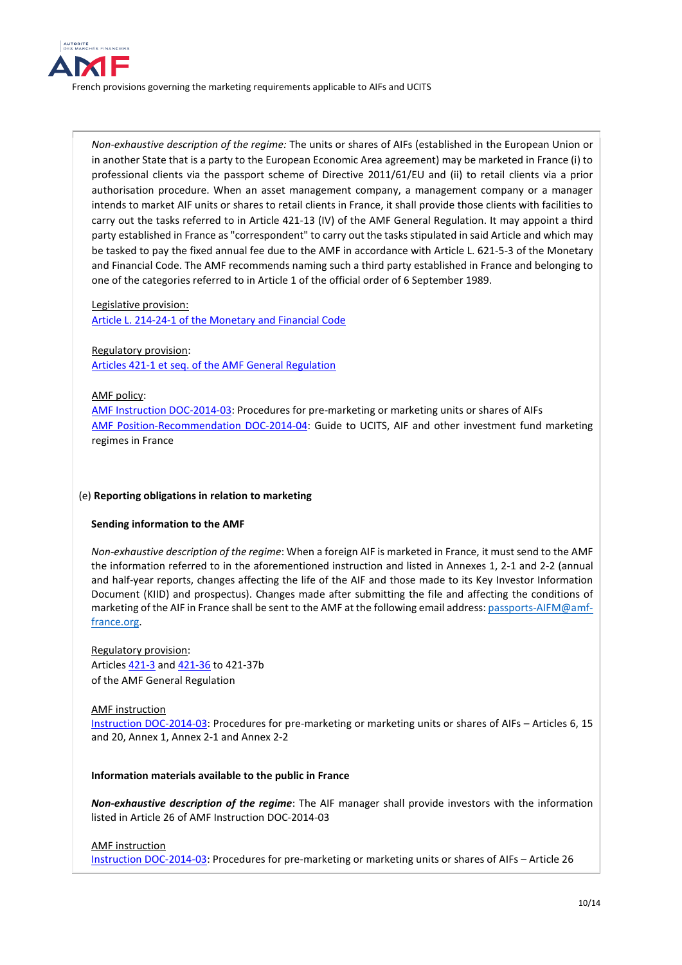

*Non-exhaustive description of the regime:* The units or shares of AIFs (established in the European Union or in another State that is a party to the European Economic Area agreement) may be marketed in France (i) to professional clients via the passport scheme of Directive 2011/61/EU and (ii) to retail clients via a prior authorisation procedure. When an asset management company, a management company or a manager intends to market AIF units or shares to retail clients in France, it shall provide those clients with facilities to carry out the tasks referred to in Article 421-13 (IV) of the AMF General Regulation. It may appoint a third party established in France as "correspondent" to carry out the tasks stipulated in said Article and which may be tasked to pay the fixed annual fee due to the AMF in accordance with Article L. 621-5-3 of the Monetary and Financial Code. The AMF recommends naming such a third party established in France and belonging to one of the categories referred to in Article 1 of the official order of 6 September 1989.

Legislative provision:

[Article L. 214-24-1 of the Monetary and Financial Code](https://www.legifrance.gouv.fr/codes/texte_lc/LEGITEXT000006072026/2021-08-02/)

## Regulatory provision: [Articles 421-1 et seq. of the AMF General Regulation](https://www.amf-france.org/en/eli/fr/aai/amf/rg/book/4/title/2/chapter/1/section/1/20210523/notes)

### AMF policy:

[AMF Instruction DOC-2014-03:](https://www.amf-france.org/en/regulation/policy/doc-2014-03) Procedures for pre-marketing or marketing units or shares of AIFs [AMF Position-Recommendation DOC-2014-04:](https://www.amf-france.org/en/regulation/policy/doc-2014-04) Guide to UCITS, AIF and other investment fund marketing regimes in France

### (e) **Reporting obligations in relation to marketing**

#### **Sending information to the AMF**

*Non-exhaustive description of the regime*: When a foreign AIF is marketed in France, it must send to the AMF the information referred to in the aforementioned instruction and listed in Annexes 1, 2-1 and 2-2 (annual and half-year reports, changes affecting the life of the AIF and those made to its Key Investor Information Document (KIID) and prospectus). Changes made after submitting the file and affecting the conditions of marketing of the AIF in France shall be sent to the AMF at the following email address[: passports-AIFM@amf](mailto:passports-AIFM@amf-france.org)[france.org.](mailto:passports-AIFM@amf-france.org)

Regulatory provision: Article[s 421-3](https://www.amf-france.org/en/eli/fr/aai/amf/rg/article/421-3/20131221/notes) an[d 421-36](https://www.amf-france.org/en/eli/fr/aai/amf/rg/article/421-36/20131221/notes) to 421-37b of the AMF General Regulation

#### AMF instruction

[Instruction DOC-2014-03:](https://www.amf-france.org/en/regulation/policy/doc-2014-03) Procedures for pre-marketing or marketing units or shares of AIFs – Articles 6, 15 and 20, Annex 1, Annex 2-1 and Annex 2-2

#### **Information materials available to the public in France**

*Non-exhaustive description of the regime*: The AIF manager shall provide investors with the information listed in Article 26 of AMF Instruction DOC-2014-03

### AMF instruction

[Instruction DOC-2014-03:](https://www.amf-france.org/en/regulation/policy/doc-2014-03) Procedures for pre-marketing or marketing units or shares of AIFs – Article 26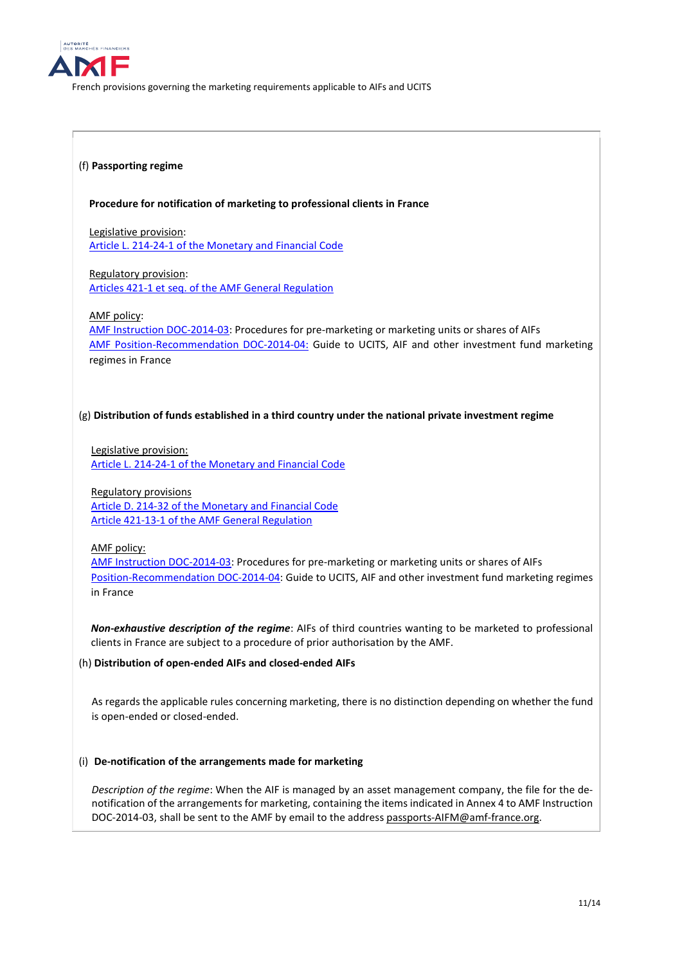

### (f) **Passporting regime**

### **Procedure for notification of marketing to professional clients in France**

Legislative provision: [Article L. 214-24-1 of the Monetary and Financial Code](https://www.legifrance.gouv.fr/codes/texte_lc/LEGITEXT000006072026/2021-08-02/)

Regulatory provision:

[Articles 421-1 et seq. of the AMF General Regulation](https://www.amf-france.org/en/eli/fr/aai/amf/rg/book/4/title/2/chapter/1/section/1/20210523/notes)

AMF policy:

[AMF Instruction DOC-2014-03:](https://www.amf-france.org/en/regulation/policy/doc-2014-03) Procedures for pre-marketing or marketing units or shares of AIFs [AMF Position-Recommendation DOC-2014-04:](https://www.amf-france.org/en/regulation/policy/doc-2014-04) Guide to UCITS, AIF and other investment fund marketing regimes in France

### (g) **Distribution of funds established in a third country under the national private investment regime**

Legislative provision: [Article L. 214-24-1 of the Monetary and Financial Code](https://www.legifrance.gouv.fr/codes/texte_lc/LEGITEXT000006072026/2021-08-02/)

Regulatory provisions [Article D. 214-32 of the Monetary and Financial Code](https://www.legifrance.gouv.fr/codes/article_lc/LEGIARTI000028939153/2021-01-15) [Article 421-13-1 of the AMF General Regulation](https://www.amf-france.org/en/eli/fr/aai/amf/rg/article/421-13-1/20131221/notes)

AMF policy:

[AMF Instruction DOC-2014-03:](https://www.amf-france.org/en/regulation/policy/doc-2014-03) Procedures for pre-marketing or marketing units or shares of AIFs [Position-Recommendation DOC-2014-04:](https://www.amf-france.org/en/regulation/policy/doc-2014-04) Guide to UCITS, AIF and other investment fund marketing regimes in France

*Non-exhaustive description of the regime*: AIFs of third countries wanting to be marketed to professional clients in France are subject to a procedure of prior authorisation by the AMF.

#### (h) **Distribution of open-ended AIFs and closed-ended AIFs**

As regards the applicable rules concerning marketing, there is no distinction depending on whether the fund is open-ended or closed-ended.

### (i) **De-notification of the arrangements made for marketing**

*Description of the regime*: When the AIF is managed by an asset management company, the file for the denotification of the arrangements for marketing, containing the items indicated in Annex 4 to AMF Instruction DOC-2014-03, shall be sent to the AMF by email to the addres[s passports-AIFM@amf-france.org.](mailto:passports-AIFM@amf-france.org)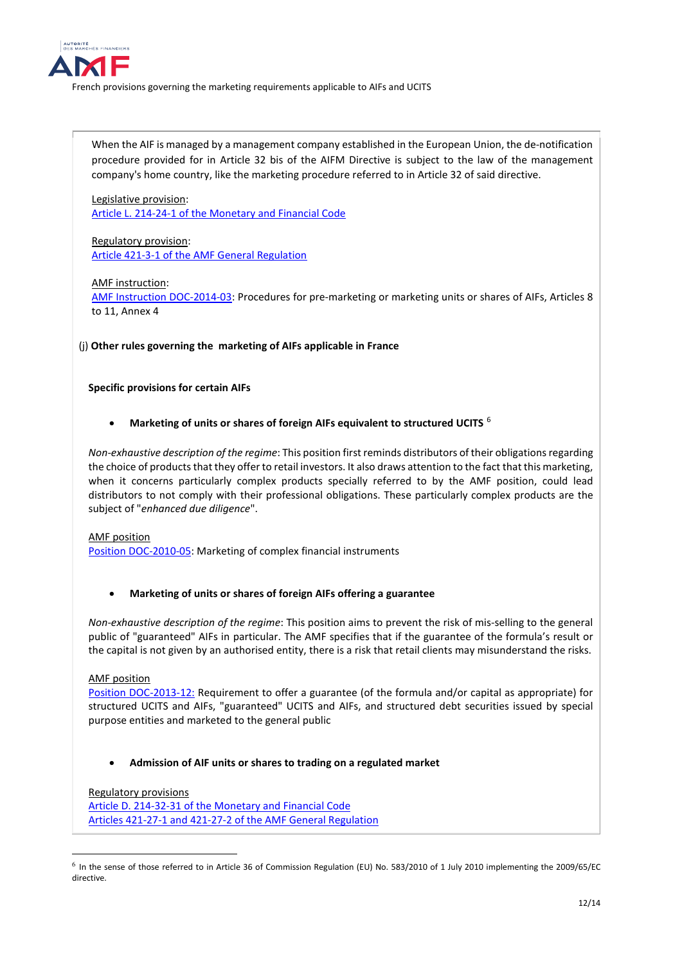

When the AIF is managed by a management company established in the European Union, the de-notification procedure provided for in Article 32 bis of the AIFM Directive is subject to the law of the management company's home country, like the marketing procedure referred to in Article 32 of said directive.

Legislative provision: [Article L. 214-24-1 of the Monetary and Financial Code](https://www.legifrance.gouv.fr/codes/texte_lc/LEGITEXT000006072026/2021-08-02/)

Regulatory provision: [Article 421-3-1 of the AMF General Regulation](https://www.amf-france.org/fr/eli/fr/aai/amf/rg/article/421-3-1/20210731/notes)

### AMF instruction:

[AMF Instruction DOC-2014-03:](https://www.amf-france.org/en/regulation/policy/doc-2014-03) Procedures for pre-marketing or marketing units or shares of AIFs, Articles 8 to 11, Annex 4

(j) **Other rules governing the marketing of AIFs applicable in France** 

**Specific provisions for certain AIFs**

• **Marketing of units or shares of foreign AIFs equivalent to structured UCITS** [6](#page-11-0)

*Non-exhaustive description of the regime*: This position first reminds distributors of their obligations regarding the choice of products that they offer to retail investors. It also draws attention to the fact that this marketing, when it concerns particularly complex products specially referred to by the AMF position, could lead distributors to not comply with their professional obligations. These particularly complex products are the subject of "*enhanced due diligence*".

### AMF position

[Position DOC-2010-05:](https://www.amf-france.org/en/regulation/policy/doc-2010-05) Marketing of complex financial instruments

• **Marketing of units or shares of foreign AIFs offering a guarantee**

*Non-exhaustive description of the regime*: This position aims to prevent the risk of mis-selling to the general public of "guaranteed" AIFs in particular. The AMF specifies that if the guarantee of the formula's result or the capital is not given by an authorised entity, there is a risk that retail clients may misunderstand the risks.

AMF position

Position DOC-2013-12: Requirement to offer a guarantee (of the formula and/or capital as appropriate) for structured UCITS and AIFs, "guaranteed" UCITS and AIFs, and structured debt securities issued by special purpose entities and marketed to the general public

## • **Admission of AIF units or shares to trading on a regulated market**

### Regulatory provisions

[Article D. 214-32-31 of the Monetary and Financial Code](https://www.legifrance.gouv.fr/codes/article_lc/LEGIARTI000039454945/2021-01-15) [Articles 421-27-1 and 421-27-2 of the AMF General Regulation](https://www.amf-france.org/en/eli/fr/aai/amf/rg/book/4/title/2/chapter/1/section/1/sub-section/3/paragraph/2/20210523/notes)

<span id="page-11-0"></span> $^6$  In the sense of those referred to in Article 36 of Commission Regulation (EU) No. 583/2010 of 1 July 2010 implementing the 2009/65/EC directive.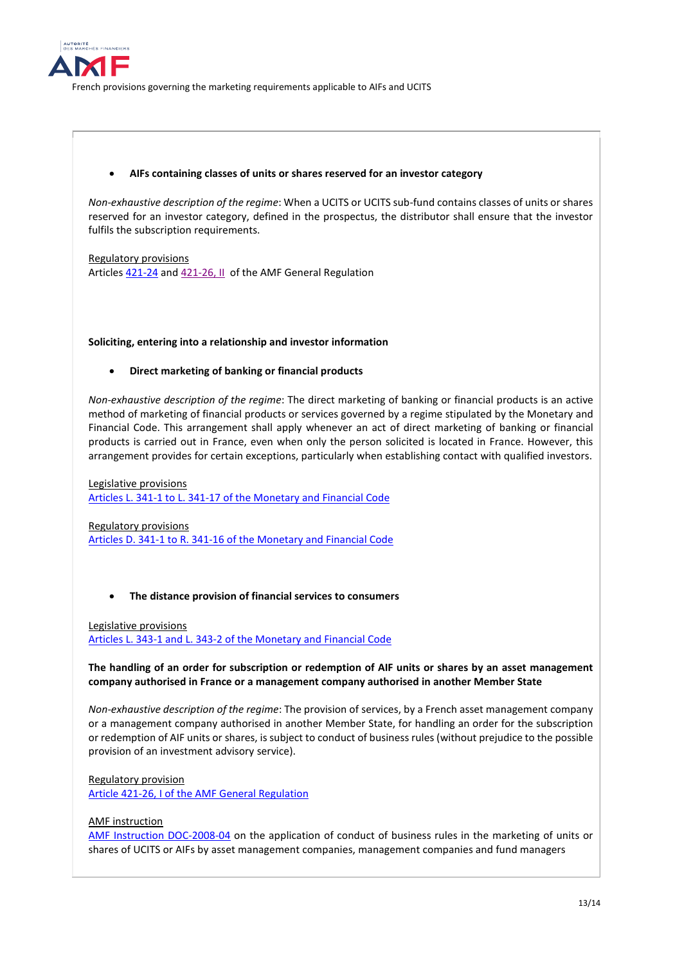

### • **AIFs containing classes of units or shares reserved for an investor category**

*Non-exhaustive description of the regime*: When a UCITS or UCITS sub-fund contains classes of units or shares reserved for an investor category, defined in the prospectus, the distributor shall ensure that the investor fulfils the subscription requirements.

Regulatory provisions Articles [421-24](https://www.amf-france.org/en/eli/fr/aai/amf/rg/article/421-24/20131221/notes) and [421-26, II](https://www.amf-france.org/en/eli/fr/aai/amf/rg/article/421-26/20190222/notes) of the AMF General Regulation

### **Soliciting, entering into a relationship and investor information**

### • **Direct marketing of banking or financial products**

*Non-exhaustive description of the regime*: The direct marketing of banking or financial products is an active method of marketing of financial products or services governed by a regime stipulated by the Monetary and Financial Code. This arrangement shall apply whenever an act of direct marketing of banking or financial products is carried out in France, even when only the person solicited is located in France. However, this arrangement provides for certain exceptions, particularly when establishing contact with qualified investors.

Legislative provisions [Articles L. 341-1 to L. 341-17 of the Monetary and Financial Code](https://www.legifrance.gouv.fr/codes/section_lc/LEGITEXT000006072026/LEGISCTA000006154463/2021-01-15/#LEGISCTA000006154463)

Regulatory provisions [Articles D. 341-1 to R. 341-16 of the Monetary and Financial Code](https://www.legifrance.gouv.fr/codes/section_lc/LEGITEXT000006072026/LEGISCTA000006153793/2021-01-15/#LEGISCTA000006153793)

### • **The distance provision of financial services to consumers**

Legislative provisions [Articles L. 343-1 and L. 343-2 of the Monetary and Financial Code](https://www.legifrance.gouv.fr/codes/section_lc/LEGITEXT000006072026/LEGISCTA000006154800/2021-01-15/#LEGISCTA000006154800)

### **The handling of an order for subscription or redemption of AIF units or shares by an asset management company authorised in France or a management company authorised in another Member State**

*Non-exhaustive description of the regime*: The provision of services, by a French asset management company or a management company authorised in another Member State, for handling an order for the subscription or redemption of AIF units or shares, is subject to conduct of business rules (without prejudice to the possible provision of an investment advisory service).

#### Regulatory provision

[Article 421-26, I of the AMF General Regulation](https://www.amf-france.org/en/eli/fr/aai/amf/rg/article/421-26/20190222/notes)

### AMF instruction

[AMF Instruction DOC-2008-04](https://www.amf-france.org/fr/reglementation/doctrine/doc-2008-04) on the application of conduct of business rules in the marketing of units or shares of UCITS or AIFs by asset management companies, management companies and fund managers